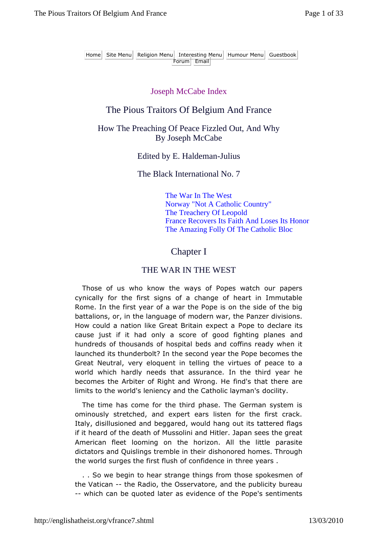Home Site Menu Religion Menu Interesting Menu Humour Menu Guestbook Forum Email

#### Joseph McCabe Index

### The Pious Traitors Of Belgium And France

#### How The Preaching Of Peace Fizzled Out, And Why By Joseph McCabe

Edited by E. Haldeman-Julius

The Black International No. 7

The War In The West Norway "Not A Catholic Country" The Treachery Of Leopold France Recovers Its Faith And Loses Its Honor The Amazing Folly Of The Catholic Bloc

### Chapter I

#### THE WAR IN THE WEST

Those of us who know the ways of Popes watch our papers cynically for the first signs of a change of heart in Immutable Rome. In the first year of a war the Pope is on the side of the big battalions, or, in the language of modern war, the Panzer divisions. How could a nation like Great Britain expect a Pope to declare its cause just if it had only a score of good fighting planes and hundreds of thousands of hospital beds and coffins ready when it launched its thunderbolt? In the second year the Pope becomes the Great Neutral, very eloquent in telling the virtues of peace to a world which hardly needs that assurance. In the third year he becomes the Arbiter of Right and Wrong. He find's that there are limits to the world's leniency and the Catholic layman's docility.

The time has come for the third phase. The German system is ominously stretched, and expert ears listen for the first crack. Italy, disillusioned and beggared, would hang out its tattered flags if it heard of the death of Mussolini and Hitler. Japan sees the great American fleet looming on the horizon. All the little parasite dictators and Quislings tremble in their dishonored homes. Through the world surges the first flush of confidence in three years .

. . So we begin to hear strange things from those spokesmen of the Vatican -- the Radio, the Osservatore, and the publicity bureau -- which can be quoted later as evidence of the Pope's sentiments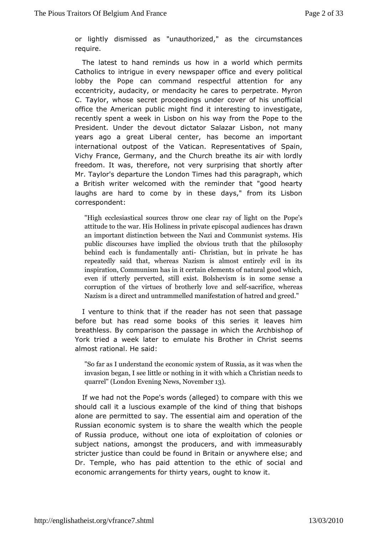or lightly dismisse<sup>r</sup>dunauthorized," as the circumstances require.

The latest to hand reminds in a world which permits Catholics to intrigue in every newspdpeveovfice litical lobby the Pope can command respectful attention for a eccentricity, audacity, or mendacity he cares to perpetrate. C. Taylowhose secret proceedings under cover of his unoffic office the Amepiccalic might find it interesting to investigate, recently spent a week in Lhsboway from the Pope to the President. Under the devout dictation bonglanzoatr many years ago a great Liberal center, has become an import international outpost of the Vatican. Representatives of S Vichy Fran Germany, and the Church breathe its air with lordl freedom. It was, thenotowery surprising that shortly after Mr. Taylor's departure the Londdnthism paragraph, which a British writer welcomed with the remindheeranthyat "good laughs are hard to come by in these days," from its Lis correspondent:

"High ecclesiastical sources tho owlight one tarra Pope's attitude to the war. His Holiness and peinvoaets hepoisclo pown h an important distinction between the Nyaztiemsd  $B$  is munist public discourses have implied the obpotiblosophy that the behind each is fundame $\mathbb{G}$ haistianntibut in private he has repeatedly said that, whereas Nazism is almost entirely inspiration, Communism has in it certain elements of natura evenif utterly perverted, still exist. Bolshevism is in som corruption hef virtues of brotherly -slaveif aned, swehle reas Nazism is a a did eucritrammelled manifestation of hatred and gr

I venture thank that if the reader has not seen that passage before but has read books of this series it leaves him breathless. By comparison the workaiss the intrchbishop of York tried a week later to emulate his Brsoethems in Christ almost rational. He said:

"So far as I undeesstcannochnibesystem of Russia, as it was wher invasion began, I sneethlint gleinort with which a Christian needs quarrel" (London Evenlow op milosofies,

If we had not the Pope's words (allegendi) that dimension the component should call it a luscious example of the kind of thing that b alone are permitted to say. The essential aim and operation Russian conomic system is to share the wealth which the peop of Russia prodwictbout one iota of exploitation of colonies or subject nations, amongsoducers, and with immeasurably stricter justice than could be fower dainy wBhriet reasinelse; and Dr. Temple, who has paid attention to the aentothic of social economic arrangements for thirty years, ought to know it.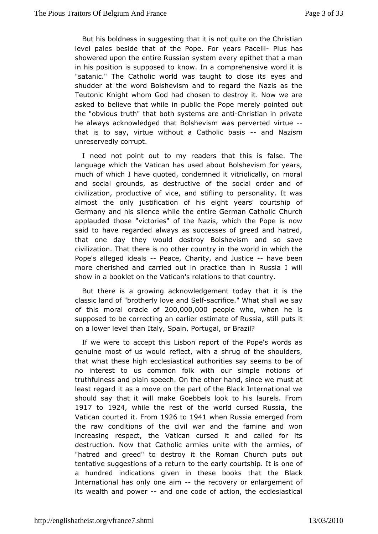But his oldness in suggesting that it is not quite on the Christ level pales bethate of the Pope. For yearBiuPsachealti showered upon the entires Reutes and a prithet that a man in his position is supposed to chomo we hean aive word it is "satanic." The Catholic world was taughetyets  $x$  and its shudder at the word Bolshevism and to regard the Nazis as Teuton Konight whom God had chosen to destroy it. Now we ar asked to believe thait wohuibleic the Pope merely pointed out the "obvious truth" that both sand ECnhosisatrien in private he always acknowledged that Bolshevism wirds aperverted that is to say, virtue without a Cathaonic Momaziism unreservedly corrupt.

I need not point out to my readers ftahlaste.thTsheis language which the Vatican has used about Bolshevism for y muchof which I have quoted, condemned it vitriolically, on  $m<sup>2</sup>$ and social grouansd sdestructive of the social order and of civilization, productive of stiflengand personality. It was almost the only justification of yehaiss' eiggchutrtship of Germany and his silence while the entire Getural Catholic applauded those "victories" of the Nazis, which the Pope is said twave regarded always as successes of greed and hatre that one day they westdoy Bolshevism and so save civilization. That there is no othtoine cwount bryin in which the Pope's alleged id Palace, Charity, and -Juhatvieebeen more cherished and carried out in practice than in Russia showin a booklet on the Vatican's relations to that country.

But there igrawing acknowledgement today that it is the classic land of "brotherl $\beta$   $\phi$   $\phi$   $\phi$   $\alpha$  and  $\phi$  cand  $\alpha$ ." What shall we say of this moral ora $c200,0000,0000$  plowho, when he is supposed to be correcting an earlier estimate ts fitRussia, still on a lower level than Italy, Spain, Portugal, or Brazil?

If wewere to accept this Lisbon report of the Pope's words genuine most or would reflect, with a shrug of the shoulders, that what these encical be siastical authorities say seems to be of no interest to us common folk wsitthple notions of truthfulness and plain speech. On the otherm unsatnutt since we least regard it as a move on the part of the Black Internatior should say that it will make Goebbels look to his laurels. 1917 to1924, while the rest of the world cursed Russia, the Vatican courteForoint 926 to 1941 when Russia emerged from the raw conditions of the civil war and not have framine increasing respect, the Vatican cursed it and called for destruction. Now that Catholic armies unite with the armies "hatred amgdeed" to destroy it the Roman Church puts out tentative suggestions of to a tried ue arly courtship. It is one of a hundred indications given in thtehsael bhoeokBllack International has only o-nteheaime covery or enlargement of its wealth and powed one code of action, the ecclesiastical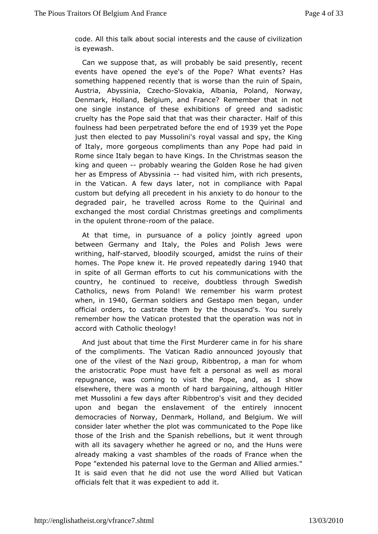code. At his talk about social interests and the cause of civiliz iseyewash.

Can we suppose that, as will probably be said presently,  $r_{\text{c}}$ events have opened the eye's of the Pope? What events? something happeneed ntly that is worse than the ruin of Spain, Austria, AbyssChziach Solovakia, Albania, Poland, Norway, Denmark, Holland, Belgium, an RdemFineam to that in not one single instance of these exhibitionss and isotriced and cruelty has the Pope said that that was their character. Half foulness had been perpetrated befoir @ 319 yet ethicle of ope just theen ected to pay Mussolini's royal vassal and spy, the K of Italy, mg pegeous compliments than any Pope had paid in Rome since Italy began King ghsavlen the Christmas season the king and que-eporobably wearing the Robosled ehne had given her as Empress of Abybachivaisited him, wiphhesiechts, in the Vatican. A few days later, not in compliance with F custombut defying all precedent in his anxiety to do honour to degraded pair, travelled across Rome to the Quirinal and exchanged the most cordial Christman compliments in the opulent thoome of the palace.

At that time, in pursuance of a policy jointly agreed up between Germany ltandy, the Poles and Polish Jews were writhing, had a frved, bloodily scan migdes of the ruins of their homes. The Pope knew it. He proved reptesa4 @tchlayt daring in spite of all German efforts to cut his communications wit country, he continued to receive, doubtless through Swee Catholics, news Prodamd! We remember his warm protest whenin1940 German soldiers and Geneestabologian, under official orders, to castrate them by the thousand's. You s remember how the Vatican protested that the operation was n accord watholic theology!

And just about that time the First Murdehrear schaame in for of the compliments. The Vatican Radio announced joyously one of the vilest of the Nazi group, Ribbentrop, a man for wh the aristocratic mPucsptehave felt a personal as well as moral repugnance, was coming to Picspite, thand, as I show elsewhere, there was a month of hard bargahintilneg, although met Mussolini a few days after Ribbentrop's visit and they de upon and began the enslavement of the entirely innocen democracies of NoD wamark, Holland, and Belgium. We will consider later whether the porton unasated to the Pope like those of the Irish and the Spanish rietbwellendintsh, robund h with all its savagery whether he agreed or no, and the Huns already making a vast shambles of the roads of France wher Pope "extend is deternal love to the German and Allied armies. It is said even that mhoet duisde the word Allied but Vatican officials felt that it was expedient to add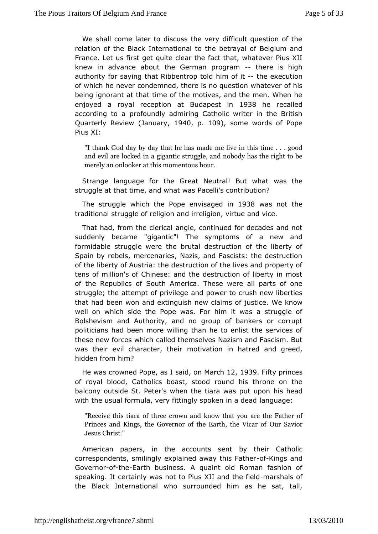We shall come later to discuss the very difficult question  $\epsilon$ relation of the Black International to the betrayal of Belgiur France. Lustfirst get quite clear the fact that, whatever Pius knew in advance abouGerman programhere is high authority for saying that Ribble imitrop  $\overline{\text{d}}$  ittd hds execution of which he never condemned, there ivshao begrees of omis being ignorant at that time of the motives, and the men. Whe enjoyed a royal reception at Budababest in ecalled according tprafoundly admiring Catholic writer in the Britisl Quarterly Review (Janouang, 109, some words of Pope Pius XI:

"I thank God day that he has made me live in this time . . and evil are logkigd nithicastruggle, and nobody has the right merely an onlookmeomeenthous hour.

Strange language for the Great Neutrawides Buite what struggle at that time, and what was Pacelli's contribution?

Thestruggle which the Pope envisase was innot the traditional strugrgelle goon and irreligion, virtue and vice.

That had, from the alreglie alcontinued for decades and not suddenly became "gigantic"! The symphoemys aonfd formidable struggle were the brutal destruction of the liber Spain by rebels, mercenaries, Nazis, and Fascists: the destr of the berty of Austria: the destruction of the lives and proper tens omiillion's of Chinese: and the destruction of liberty in n of the Republics outh America. These were all parts of one struggle; the attempt of pormid power to crush new liberties that had been won and extinguish njewstide. im Vsteoknow well on which side the Pope was. For him it was a struggl Bolshevism and Authority, and no group of bankers or cor politicians the edn more willing than he to enlist the services of these new forces combline themselves Nazism and Fascism. But was their evil charactemptthation in hatred and greed, hidden from him?

He was crowned Popsea, ideosn IMardh2, 1939 Fifty princes of royal blood, Catholics boacsuinds thoicsd throne on the balcony outside St. Peter's when the tiarbaisw heap and tupon with the usual formula, very fittingly spaken aignea dead

"Receive this tiara of three crown a and the fatheart of ou Princes and Kings, the Governor of th@uEaStahw, othe Vicar of Jesus Christ."

American papers, in the accounts the animal Catholic correspondents, smilingly explained awo f Kinhgis n Fdather Govern-om<sup>ethe-</sup>Earth business. A quaint old Roman fashion of speaking.c  $\texttt{drt}$  ainly was not to Pius XII amdr $\texttt{s}$ healfsied fi the Black Internawboalsurrounded him as he sat, tall,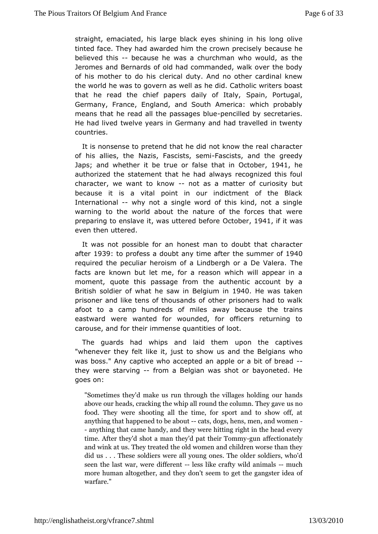straight, emaciated, his large sublimacione shis long olive tinted face. They had awarded him the dore own preformed to the correct of the contract of the correct of the c believed thibecause he was a churchman who would, as the Jeromes and Bernards of old had commanded, walk over the bod of his mother to dedehiicsal duty. And no other cardinal knew the world he was to govern has dwidll Cantholic writers boast that he read the chief papers dais paon IPadytugal, Germany, France, England, and South America: which proba means that he read all the paspose angodisoid bulus of  $p$  secretaries. He had livte twe years in Germany and had travelled in twent countries.

It isnonsense to pretend that he did not know the real charac of his allies, Nabzes, Fascists, Fasemists, and the greedy Japs; and whether it befalse that in October he authorized the statement that he read ganliwed sthis foul character, we want to - know was a matter of cubuibsity because it is a vital point in our indictment of the BI Internationawhy not a single word of this kind, not a single warning to the world abouture and the forces that were preparing to enslave it, was utter teab bts 4 def it was even then uttered.

It was not possible hformesh man to doubt that character aften 939 to profess a doubt any time suimemer 1040 required the peculiar heroism of a Lindbergh The a De Valera facts are known but let me, for a reason which will appear moment quote this passage from the authentic account by British soldier of wshaawt he Belgium 940He was taken prisoner and like tens of th**ousends is 6** ners had to walk afoot to a camp hundreds of miles away treae nause the eastward were wanted for wounded, for officers returning carouse, *and* their immense quantities of loot.

The guards had whips and lau**pontheme** captives "whenever they felt like it, just to show us who the Belgians was boss." Any captive who accepted an apple-or a bit of bre they wersetarving from a Belgian was shot or bayoneted. He goeson:

"Sometimes they'd make us run throughouthehavnibllsages holdir above our heads, cracking the whip all rouns the column. The food. They were shooting all the time, for sport and to anything that happened-tatse aboos, hens, men-, and women -anything that came handy, and they were hitting right in th time. After they'd shot a man they'd-gouant athfeeiort iTo onna treyly and wink sat They treated the old women and children worse did us . . . solh beins were all young ones. The older soldiers seen the laswie weardiffer bensts like crafty wild m**an**chmals more human altoagnedithele,y don't seem to get the gangster id warfare."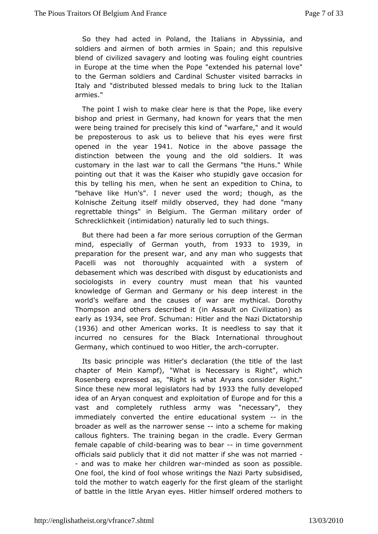So the had acted in Poland, the Italians in Abyssinia, ard soldiers and airmen afmbieth in Spain; and this repulsive blend of civilized savagery and found ting gewight countries in Europe at the time when the Pope  $\beta$  a *k* teen ale do wes<sup>"</sup> to the German soldiers and Cardinal Schuster visited barrac Italy and "distributed blessed medals to bring luck to the  $H$ armies."

The point I wish to make clear here is that the Pope, like bishop and priest in Germany, had known for years that the were being ined for precisely this kind of "warfare," and it wo be preposterouaskous to believe that his eyes were first opened in the  $\sqrt{4}$   $\theta$   $\approx$   $41$  Notice ithe above passage the distinction between the young and the old soldiers. It customary in the last war to call the Germans "the Huns." V pointing duat it was the Kaiser who stupidly gave occasion f this by telling his where men, he sent an expedition to China, to "behave like Hun's". I never wucsredd; the ugh, as the Kolnische Zeitung itself mildly observed, "thay yhad done regrettable things" in Belgium. The German military order Schrecklichkeit (intimidation) naturally led to such things.

But there had be far more serious corruption of the German mind, especially of Gyeorumtheutrom 1933 to 1939 in preparation for the present war, and any geneatrs whhas t Pacelli was not thoroughly acquainted with a system debaseme which was described with disgust by educationists a sociologists in evoeumytry must mean that his vaunted knowledge of German and Germany ontehries to depthe world's welfare and the causes of war are mythical. Dord Thompson and others described it (in Assault on Civilization early als 34 see Prof. Schuman: Hitler and the Nazi Dictatorshi (1936) and other Amerwoorks. It is needless to say that it incurred no censures for the tele hand konal throughout Germany, which continued to wo arld ht loern, uphier.

Its basic principle was Hitler's declaratibe (abe title of chapter of Mein Kampf), "What is Necessary is Right", w Rosenbeeg pressed as, "Right is what Aryans consider Right Since these new lmegiallators had b 33 the fully developed idea of an Aryan conquexspticaintation of Europe and for this a vast and completely ruthless a<sup>th</sup> mmeyce sweezery", they  $i$ mmediately converted the entire educationalthæystem broader as well as the narrowient csean setheme for making calloufsighters. The training began in the cradle. Every Germ female capable hid-dbearing was to -benartime government officials said public by idthact imatter if she was not married - and was to make her childhrien od explasion as possible. One fool, the kind of fool whose writing suthheeid Nazd, Party told the mother to watch eagerly for the fisstarlgilgehatm of the of battle in the little Aryan eyes. Hitler himself ordered moth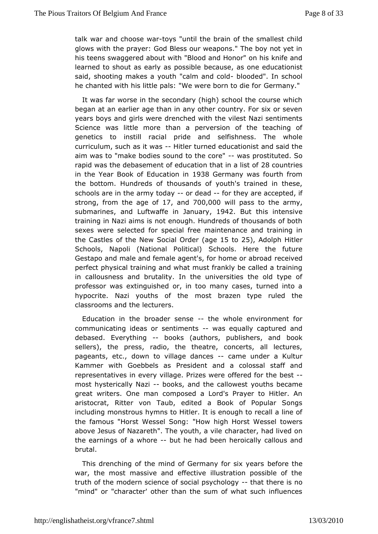talk war and chooste wea'until the brain of the smallest child glows witthe prayer: God Bless our weapons." The boy not yet his teens swaggered with bould lood and Honor" on his knife and learned to shout as early abse**onss**ebless one educationist said, shooting makes a youth "calbmo and ded old n school he chanted with his little pals: "We wereGborm anto "die for

It was far worse in the secondary (high) school the course v began at an earlier age than in any other country. For six or years boasd girls were drenched with the vilest Nazi sentimer Science was little the manrea perversion of the teaching of genetics to instill racial psied bishamedss. The whole curriculum, such as-ihtliwlaes turned educaatri**d**nsiatid the aim was to "make bodies sound to was programituted. So rapid was the debasement of education  $28$  abuntai eisst of in the YeBacrok of Education \$38nGermany was fourth from the bottom. Hundretchsoucsfands of youth's trained in these, schools are in the army otrodes-dfor they are accepted, if strong from the age  $170$  fand  $700,000$  will pats os the army, submarine and Luftwaffe in Jan & alput this intensive training in Nazi aims is not enough. Hundreds of thousands o sexes weselected for special free maintenance and training the Castles of the Onteawl Ordeagret 5 to 25), Adolph Hitler Schools, Napoli (National SPcchloicicsal) Here the future Gestapo and male and female agent's, for rhecorne by ed abroad perfect physical training and what must frankly be called a tr in callousness and brutality. In the universities the old typ professor weasinguished or, in too many cases, turned into  $\varepsilon$ hypocrite. Nazi youths mobstherazen type ruled the classrooms and the lecturers.

Education in btrhoeader sensehe whole environment for communicating ideas or sentwina enesqually captured and debased. Everythinbooks (authors, publishebookand sellers), the press, radio, the theatre, concerts, all lect pageantstc., down to village -damames under a Kultur Kammer with Goebbe Pste assisdent and a colossal staff and representatives in every village.of Preirzeeds for ertehe-best most hysterically-Napiks, and the calyow thest became great writers. One man composed a Lord's Prayer to Hitler aristocrat, Ritter von Taub, edited a Book of Popular Song including monshromuss to Hitler. It is enough to recall a line of the famous "Horst Wessel HoSwon migligh Horst Wessel towers above Jesus of Nazareth". The youth acteen, illead lived on the earnings of a -wbottehe had been herocald aluly and brutal.

This drenching of the mind of Germany beforeix hypears war, the most massive and effective illustration possible o truth of the modern science of social the asy other egiss no "mind" ocharacter' other than the sum of what such influenc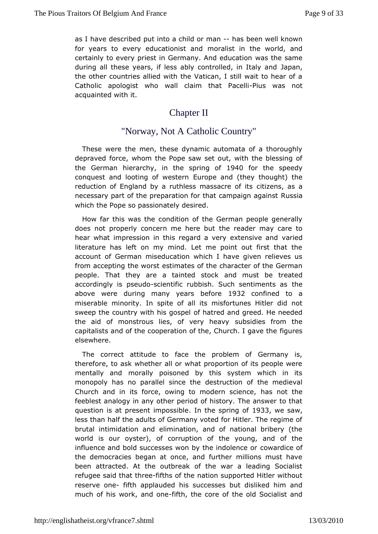as I have describend too wat child or--mhaans been well known for years to every education is aliant din the world, and certainly to every priest in Germany. Whan the the samen during all these years, if less ably controll and animal taly and the other countries allied with the Vatican, I still wait to hear Catholic apologist who wall claim-Ptibust wPasscehlot acquainted with

## Chapter II

# "Norway, Not A CatholicCountry"

These were the men, these dynamic automata of a thoroug depraved force, whom the Pope saw set out, with the blessing the Germanierarchyn the spring 1904 0 for the speedy conquest and looting of Ewues peernand (they thought) the reduction of England by a ruthless masts zaches, oasitas necessary part of the preparation for that cPaunspsaagn against which the Pope so passionately desired.

How far this was othe det the condition of the German people generally does not properly concern methe erree abduetr may care to hear what impression in this regard a verwariednsive and literature has left on my mind. Let me point out first that accound f German miseducation which I have given relieves from accepting the ewtcimsates of the character of the German people. That they are a taintend minusk be treated accordingly is pseuedhotific rubbish. Such senthmeents as above were during many years 9 35 2 focone fined to a miserable minolmitys.pite of all its misfortunes Hitler did not sweep the country with hos gaspeed and greed. He needed the aid of monstrous lies, of veeuty situde asy from the capitalists and of the cooperation of the, Cffiguress I gave the elsewhere.

The correct attitude to face the problem of Germany therefore, to ask whether all or what proportion of its people mentally amobrally poisoned by this system which in its monopoly has no parallel siensteruchtion of the medieval Church and in its force, owing to modesn nsodiethee, feeblest analogy in any other period of history. The answer t question is at present imimosiseb sepring 9c3f3 we sa, w less than hadfadults of Germany voted for Hitler. The regime brutal intimidationeliamidhation, and of national bribery (the world is our oyster), of corntum petion on  $g$ , and of the influence and bold successes won by the windolleen coef or the democracies began at once, and further millions must I beenattracted. At the outbreak of the war a leading Social refugee said that the set if the nation supported Hitler without reserve onefth applaudesd successes but disliked him and much of his work, a-niid thone he conteheo fold Socialist and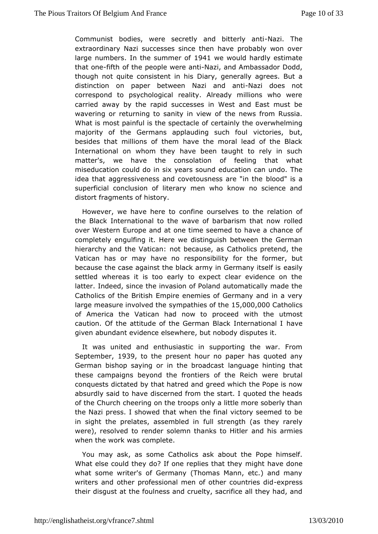Communist bodies, were secretly and NazitaThe anti extraordinary Nazi successes since then have probably won largenumbersh the summed 904f1 we would hardly estimate that onfeith of the eople were -  $\texttt{Maxi}$ , and Ambassador Dodd, though not quite consiste Ditain, his nerally agrees. But a distinction on paper between NazNiazaindobesantriot correspond to psychological reality. Already millions who carriedway by the rapid successes in West and East must I wavering or returnsmanity in view of the news from Russia. What is most painful is the speerd bail of the overwhelming majority of the Germans applauding visto the soul ut, besides that millions of them have the moral lead of the E International on whom they have been taught to rely in  $s_{\perp}$ matter's, we hawe consolation of feeling that what miseducation could do in six yeedaurs a sicound dan undo. The idea that aggressiveness and covetousnbelsoso on "reis" ion the superficial conclusion of literary men who know no science distort fragments of history.

However, we have here to confinte odulines enlevisation of the Black International to the wave of barbrandism that now over Western Europe and at one time seemed to have a chand completed aquifing it. Here we distinguish between the Germa hierarchy and the Vabitc because, as Catholics pretend, the Vatican has or may have no respontshious former, but because the case against the black army in Geastimily any itself is settled whereas it is too early to expect clear evidence on lattenndeed, since the invasion of Poland automatically made Catholics of Brhitesh Empire enemies of Germany and in a very large measure involved the bies of 5h@00,000 atholics of America the Vatican had now woith rologe underst caution. Of the attitude of the German Black a weternational I given abundant evidence elsewhere, but nobody disputes it.

It wasunited and enthusiastic in supporting the war. From September 939 to thoresent hour no paper has quoted any German bishop saying or in the laborgound good general that these campaigns beyond the frontiers of the Reich were conquests dictated by that hatred and greed which the Pope i absurdly said to have discerned from the start. I quoted the of the Chuobbering on the troops only a little more soberly that the Nazi press. I sthow wordhen the final victory seemed to be in sight the prelates, assefonlbles dreingth (as they rarely were), resolved to render solemn thaamkds hit as Haintheies when the work was complete.

You may ask, as some Caast khoolicosut the Pope himself. What else could they do? If one reprhiiggshithhaatvehelpyne what some writer's of Germany (Thomas Mann, etc.) and  $m<sub>i</sub>$ writers and other professional men of othexparessiries did their disgausthe foulness and cruelty, sacrifice all they had, and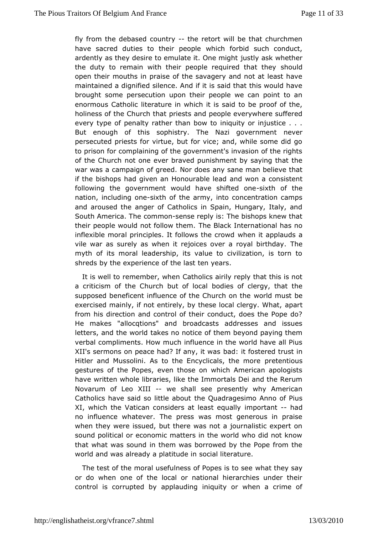fly from the debasement  $r + t$  the retort will be that churchmen have sacred duties to the whipe do pfleer bid such conduct, ardently as they desire to emulate jiustOlyneasmkigwhitether the duty to remain with their people required that they open their mouths in praise of the savagery and not at least maintained a dignified silence. And if it is said that this wou broughstome persecution upon their people we can point to  $i$ enormous Cathict lature in which it is said to be proof of the holiness of the Church that and people everywhere suffered every type of penalty rather than bow to injustice . . . But enough of this sophistry. The Nazinegycevrernment persecuted priests for virtue, but for vice; and, while some did toprison for complaining of the government's invasion of the r of the Chumoh one ever braved punishment by saying that the war was a campaign of grededes any sane man believe that if the bishops had given an Honaunda by lead onsistent following the government would have sisxith fteetof heone nation, including *i* othe of the army, into concentration camps andaroused the anger of Catholics in Spain, Hungary, Italy, South America.cd meno-sense reply is: The bishops knew that their people would not follTohwe the learnok International has no inflexible moral principles. It follow heen thist apopwheatuds a vile war as surely as when it rejoices over ah poyal birthday myth of its moral leadership, its value to civilization, is to shredsy the experience of the last ten years.

It is well to remembe C, a when  $\ln s$  are individually reply that this is not a criticism of the Church bubto whife soonliclergy, that the supposed beneficent influence of the wCchruid chrught thee exercised mainly, if not entirely, by these loapaalrtclergy. What from his direction and control of their conduct, does the Pop He makes "allocqtions" and broadcasts addresses and iss letters, and the two belsd no notice of them beyond paying them verbal compliments. How mifmue on the world have all Pius XII's sermons on peace had? If baamdy, it tf was the detrust in Hitler and Mussolini. As to the Encyclipcrælts enthoeusmore gestures of the Popes, even those on which American apolo havewritten whole libraries, like the Immortals Dei and the Re Novarum of LXdbl-- we shall see presently why American Catholics have said so litthee Qubadutagesimo Anno of Pius  $XI$ , which the Vatican considers at imeparositan quidal by no influence whatever. The press was most generous in pr when they were issued, but there was not a journalistic expe soundolitical or economic matters in the world who did not know that what was sionumblem was borrowed by the Pope from the world and was already a plsext in deliterature.

The test of the moral usefulness of Povchpaetsthisey to same e or do when one of the local or national hierarchies under control is corrupted by applauding iniquity or when a crim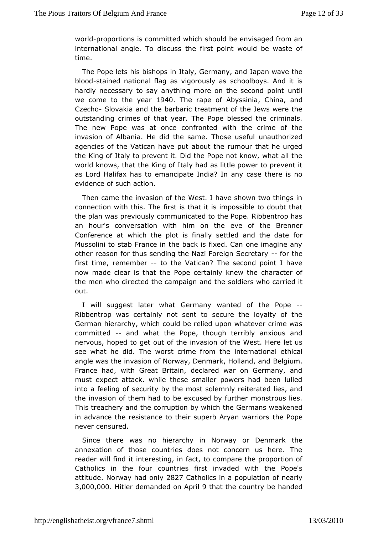worldbroportions scommitted which should be envisaged from an international angle. To the stiuss point would be waste of time.

The Pope lets his bisthad ps Grermany, and Japan wave the bloo-stained national flag as vigsorboolboas. And it is hardly necessary to say anything more on the tise cond point we come to the  $\sqrt{240}$  The rape of Abys Chrina and Czech Glovakia and the barbaric treatment of the Jews were the outstanding crime restoring the Pope blessed the criminals. The new Pope was at once cwintfront ted crime of the invasion of Albania. He did the same.unTahuotsheo ruizsee of ul agencies of the Vatican have put about the rumour that he u theKing of Italy to prevent it. Did the Pope not know, what all world knows at the King of Italy had as little power to prevent as Lord Halifax heamsantocipate India? In any case there is no evidence of such action.

Thencame the invasion of the West. I have shown two things connection with Tthe stirst is that it is impossible to doubt that the plan was prevoomsmiwnicated to the Pope. Ribbentrop has an hour's conversation with him weon of the be Brenner Conference at which the plot is finally settlfeod and the dat Mussolini to stab France in the back is fixed. Can one imagin othereason for thus sending the Nazi Foreigon Secretary first timme, member to the Vatican? The second point I have now made clear is the ather the rink the character of the men who directed the campaign dane the carried it out.

I will suggest later what Germany the an Prophe-of Ribbentrop was certainly not sent to secure the loyalty of German hierarchy, which could be relied upon whatever crime committed andwhat the Pope, though terribly anxious and nervous, hoped to get ountvasit the of the West. Here let us see what he did. The worst crimientferromatiton eal ethical angle was the invasion of Norway, DenmarRiel Holland, and France had, with Great Britain, declared war on Germany, mustexpect attack. while these smaller powers had been lul into a feeling  $e$  outrity by the most solemnly reiterated lies, and the invasion of them blead xtowsed by further monstrous lies. This treachery and the corruptible b Gewin ach sweakened in advance the resistance to their superb the yPaonp evarriors never censured.

Since there was no hierarchy in Norway the Denmark annexation of those countries does not concern us here. reader will iftind teresting, in fact, to compare the proportion  $\epsilon$ Catholics in the comuntries first invaded with the Pope's attitud Norway had  $\alpha$ n812y7 Catholions a population of nearly 3,000,000 itler demanded on Appartiithe coumer handed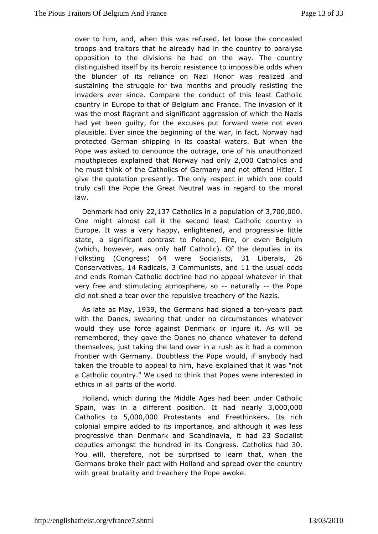over to him, and, when this was refused, let loose the conc troops and traitors that he already had in the country to par opposition tho divisions he had on the way. The country distinguished itself by  $i$ tessiste agice to impossible odds when the blunder of its reliance on NazireHaolinzoerd waansd sustaining the struggle for two months and proudly resisting invaders ever since. Compare the conduct of this least Cat country Emurope to that of Belgium and France. The invasion o was the most flagond nationificant aggression of which the Nazis had yet been guilty,  $6x$  cutshees put forward were not even plausible. Ever since the beginwaim ginoffacte, Norway had protected German shipping in its coastawhewnaterres. But Pope was asked to denounce the outrage, one of his unautho mouthpieces explained that Norw 2y000 Catholy ics and he must thinkhef Catholics of Germany and not offend Hitler. give the quotation pressheently respect in which one could truly call the Pope the Great Neuetogalrow as the moral law.

Denmark had  $@@|y3 \mathcal{L}$  atholics in a popoul $@3 \mathcal{L}$ 13,000,000 One might almost call it the second least Catholic countr Europe. It was a very happy, enlightened, and progressive state, aignificant contrast to Poland, Eire, or even Belgit (which, however, wababfnl@atholic). Of the deputies in its Folkstin $6C$  ongre)s  $s64$  were Socialists Liberals 26  $Conservating  $R$  and  $l_{CR}$  as  $C$  of  $m_{R}$ , and  $l_{CR}$  of  $d_{CR}$ .$ and ends Roman Catholic doctrine had no appeal whatever in very free asnit dmulating atmosphere, a tsucrally the Pope did not shed a tear or epultshieve treachery of the Nazis.

As late as May 9the Germans shiang hed a -ten ars pact with the Danes, swearing that under no wchactum stances would they use force against Denmark or injure it. As will remembered, they gave the Danes no chance whatever to def themselves, tjauksitng the land over in a rush as it had a commor frontier with Germanytless the Pope would, if anybody had taken the trouble to appe $\texttt{ah}$  a to himplained that it was "not a Catholic country." We used to thi**wlertchant Popsetsed** in ethics in all parts of the world.

Holland, which dtuhrein Middle Ages had been under Catholic Spain, was in a different polsatdiomealrtBy, 000,000 Catholics  $5,000,000$  protestants and Freethinkers colonial empire added to its importance, and although it was progressive than Denmark and Sctanhobior & Socialist deputies amongsthundred in its Co@gressics Bad You will, therefore, soutprised to learn that, when the Germans broke their pact with **Spreand oaved** the country with great brutality and treacheary othee. Pope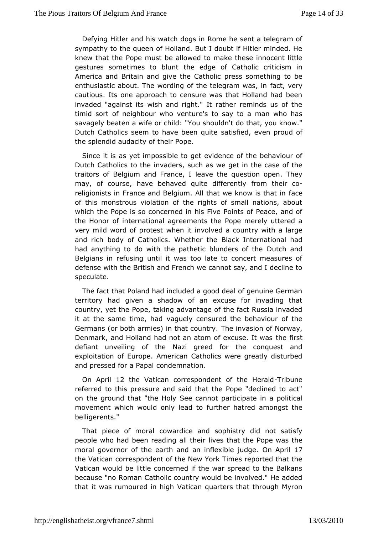Defying Hitler and his watch dogs in Rome he sent a telegra sympathy to the queen of Holland. But I doubt if Hitler minde knew that the pe must be allowed to make these innocent littl gestures sometimes to the luendae of Catholic criticism in America and Britain and give the e Csatshoonhioething to be enthusiastic about. The wording of the telaced rawner was, in cautious. Its one approach to censure was that Holland had invaded "against its wish and right." It rather reminds us o timid sortnoefighbour who venture's to say to a man who has savagely beaten a wife "drouhshot uldn't do that, you know." Dutch Catholics seem to have sbætesnfigendit eeven proud of the splendid audacity of their Pope.

Since itaiss yet impossible to get evidence of the behaviour Dutch Catholics to variations, such as we get in the case of the traitors of Belgium and Feareethe question open. They may, of course, have behaved quite rodmiffelment-lyco religionists in France and Belgium. All that we cunow is that i of this monstrous violation of the rights of small nations, which the ope is so concerned in his Five Points of Peace, an the Honorinternational agreements the Pope merely uttered very mild word of pwbeenstit involved a country with a large and rich body of Catholics. Who heat the Hintheernational had had anything to do with the pathetic blound the the had anything to do with the pathetic blounded research and Belgians in refusing until it was too late to concert measur defense with the British and French we cannot say, and I decl speculate.

The fact that Poland had included a good deal of genuine  $G \epsilon$ territory had given a shadow of an excuse for invading 1 country, yet Ptohpee, taking advantage of the fact Russia invade it at the same time, a ghandly censured the behaviour of the Germans (or both armies) in that ecommasyon of Norway, Denmark, and Holland had not an atom of texacusest It was defiant unveiling of the Nazi greed for the conquest a exploitation Europe. American Catholics were greatly disturbe and pressed for  $ac$  $B$   $\alpha$   $\phi$   $\alpha$   $\beta$   $n$  nation.

On April 2 the Vatican correspondent of -Tthi bulterald referred to this pressure and said that the Pope "declined t on the grouhdt "the Holy See cannot participate in a politic movement which woulde and lyo further hatred amongst the belligerents."

That piece of mcowaardice and sophistry did not satisfy people who had been reading væld thair the Pope was the moral governor of the earth and an inf $\mathbf{O}$  enxies  $\mathbf{A}$   $\mathbf{D}$  and  $\mathbf{D}$ the Vatican correspondent of the New York Times reported that Vatican would be little concerned if the war spread to the  $B_i$ because "Roman Catholic country would be involved." He adde that it was rumoured Vmathigh quarters that through Myron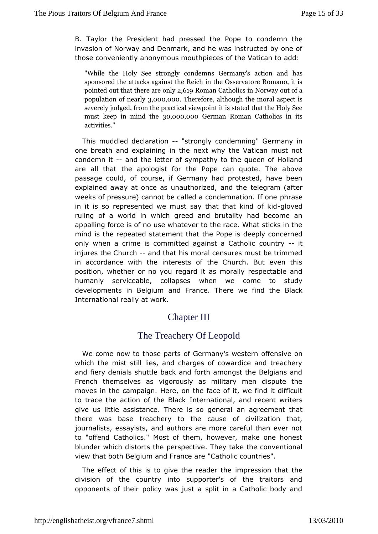B. Taylor the President had presseod dbed Poppe the invasion of Norway and Denmark, and he was instructed by one those conveniently anonymous mouthpieces addhe Vatican to

"While the Holy See strongly condemns Ghearsmany's action sponsored the attacks against the Reich in the Osservatore pointed out that the 2 e 6 **a Repropently** Catholics in Norway out of a  $p$  opulation of  $3p \theta \theta \theta$ ,  $\Omega$   $\sigma \theta$  erefore denote the moral aspect is severely judged, from the practical viewpoint it is stated th must keep in michod 010hoe 00Goerman Roman Catholics in its activities."

This muddled declaration maly condem Germany in one breath and explaining in the next why the Vatican must condemn-itand the letter of sympathy to the queen of Holland are all that apologist for the Pope can quote. The above passage could, of coGesenanty had protested, have been explained away at once as unauthoritzed digram d (tah four weeks of pressure) cannot be called a condemnation. If one in it is so represented we must say that -tohloot we kid rulingof a world in which greed and brutality had become and appalling force is scef wo batever to the race. What sticks in the mind is the repeated state the ent P optatis deeply concerned only when a crime is committed againssolumat Cyatholic injures the Chuachd that his moral censures must be trimmed in accordance with the interests of the Church. But even position, wheohemo you regard it as morally respectable and humanly serviceable, cowllanes as seve come to study developments in Belgium and France. TherBelawe find the International really at work.

# Chapter III

# TheTreachery Of Leopold

We come now to those parts of German fyes sweetenn which the mist still lies, and charges of cowardice and trea and fiery denials shuttle back and forth amongst the Belgian Frenchthemselves as vigorously as military men dispute the moves in the camplexingen, on the face of it, we find it difficult to trace the action of threeter head konal, and recent writers give us little assistance. There iasn sang geneement that there was base treachery to the cause of civilization t  $j$ ournalists, essayists, and authors are more careful than ever to "offenCdatholics." Most of them, however, make one hones blunder which distopes the ective. They take the conventional view that both Belgium and  $FCant$  belare countries".

The effect of this is to give the marper and seniothed hat the division of the country into supporter's of the traitors opponents of their policy was just a split in a Catholic bod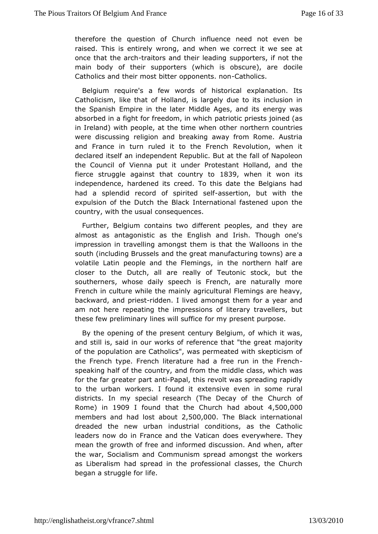the refore the estion of Church influence need not even be raised. This is entirely anwdrown hop, n we correct it we see at once that the-taradinors and their leading on the stript of the main body of their supporters (which is  $\phi$ bosideare), are Catholics and their most bitter opcanentiss. non

Belgiumequire's a few words of historical explanation.  $I^+$ Catholicism, like thealt aonfd, is largely due to its inclusion in the Spanish Empire in tMeddaeteAges, and its energy was absorbed in a fight for freedom at in whiphiests joined (as in Ireland) with people, at the time ow the enroptheruntries were discussing religion and breaking away from Rome. Au and France in turn ruled it to the French Revolution, whe declared itseiln dæmendent Republic. But at the fall of Napoleo the Council of Viennau rpduetri Protestant Holland, and the fierce struggle against that  $d\mathcal{B}d\mathcal{B}d\mathcal{B}d\mathcal{B}d\mathcal{B}d\mathcal{B}d\mathcal{B}d\mathcal{B}d\mathcal{B}d\mathcal{B}d\mathcal{B}d\mathcal{B}d\mathcal{B}d\mathcal{B}d\mathcal{B}d\mathcal{B}d\mathcal{B}d\mathcal{B}d\mathcal{B}d\mathcal{B}d\mathcal{B}d\mathcal{B}d\mathcal{B}d\mathcal{B}d\mathcal{B}d\mathcal{B}d\mathcal{B}d\$ independence, hardened its creed. To this date the Belgians had a splendid record of spasisted tione, f but with the expulsion of Dtuhtech the Black International fastened upon the  $country$ , with the consumed  $quences$ .

Further, Belgium contains two different peapees, and they almost as antagonistic as the English and Irish. Though on impression trian velling amongst them is that the Walloons in th south (including Baunsds the great manufacturing towns) are a volatile Latin people and theinFltehmeimgosr, thern half are closer to the Dutch, all are really of Theuttothic stock, southerners, whose daily speech is French, are naturally French dulture while the mainly agricultural Flemings are hea backward, apmidestidden. I lived amongst them for a year and am not here repeating pressions of literary travellers, but these few preliminary lines fourll mayu prince for the purpose.

By the opening of the present century h Boeh giltury as, f and still is, said in our works of referencmentiorativathe great of the population are Catholics", was permeated with skeptici theFrench type. French literature had a free run in the Fre speaking half  $\alpha$  fo the condition the middle class, which was for the far greatearn pilatopal, this revolt was spreading rapidly to the urban workers. I boxutad sive even in some rural districts. In my special research (The Chaugram off the Rome in 19091 found that the Church had  $50,0000$ members ahdd lost ab $2,1500,000$  he Black international dreaded the new unbdamstrial conditions, as the Catholic leaders now do in France and  $d$ hees  $\vee$  awer aware. They mean the growth of free and informed discusasfiteer. And when, the war, Socialism and Communism spread amongst the work as Liberalism a spread in the professional classes, the Churc began a strugglefeor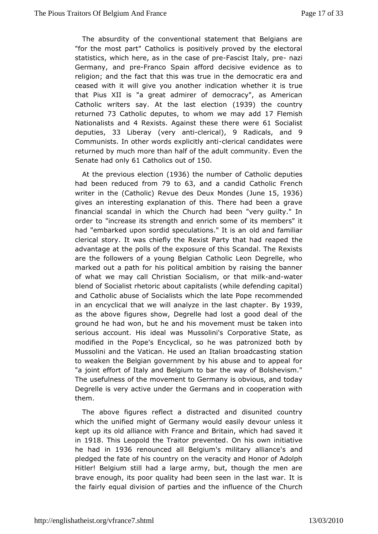The absurdity of the conventional statement that Belgians "forthe most part" Catholics is positively proved by the elec statistics, whece, as in the case as cose Italy, naze Germany, and-FrancoSpain afford decisive evidence as to religion; and the fact that this whese deumeocratic era and ceased with it will give you another heithdeincattion true that Pius XII is "a great admirer of democracy", as Amer Catholic writers  $A$ sta the last elect  $B$ competition (1937) the country returne7d3 Catholic deput beswhom we may 1a7d Flemish Nationalists  $4a \mathbb{R}$ dexist Against these there 61 w Socialist deputies  $33$  Libera (very and ierical), Radicals nd 9 Communists. In other words explicational accept of  $\alpha$  and  $\alpha$ returned by much more than half of the adult community. Ever Senate hand \61 Catholics out 5 Obf

At the previous election enumber Catholic deputies had been reduced 79 to 0063, and a candid Cafhehich writer in (Catholi Revue des Deux Mondet 65, 1936) gives amteresting explanation of this. There had been a gra financial scandwahich the Church had been "very guilty." In order to "increase its stremgitch assodme of its members" it had "embarked upon sordid speculationlmds a"n dt fiasmahiar clerical story. It was chiefly the Rexist Part  $\psi$ hehat had reape advantage at the polls of the exposure of this Scandal. The F are theollowers of a young Belgian Catholic Leon Degrelle, where marked out a path is for olitical ambition by raising the banner of what we may call CSS picsitablism, or that and wilck ter blend of Socialist rhetoric about child religionshing capital) and Catholic abuse of Socialists whiche tho en made dedpe in an encyclical that we will analyze in the 1939t chapter as the above figures show, Degrelle had lost a good deal of ground he hwad h, but he and his movement must be taken into serious account. His id Measswhisi's Corporative State, as modified in the Pope's Encyclical patronized aboth by Mussolini and the Vatican. He used an Itals tantiom adcasting to weaken the Belgian government by his abuse and to appea "a joinetffort of Italy and Belgium to bar the way of Bolshevis The usefulness on fo the ment to Germany is obvious, and today Degrelle is very active Genedremanise and in cooperation with them.

The above figures redlistated and disunited country which the unified might of Germany dweew ould reamslely sit kept up its old alliance with France and Bsataed, iwhich had in1918This Leopold the Traitor poevbinsteodwn initiative he had in1936 renounced all B'ssigmui hitary all'is a magned pledged the fahties ocfountry on the veracity and Honor of Adolph Hitler! Belgium stilllarge army, but, though the men are brave enough, its poor quality haich been assete war. It is the fairly equal division of parties and tthe Chifulune more of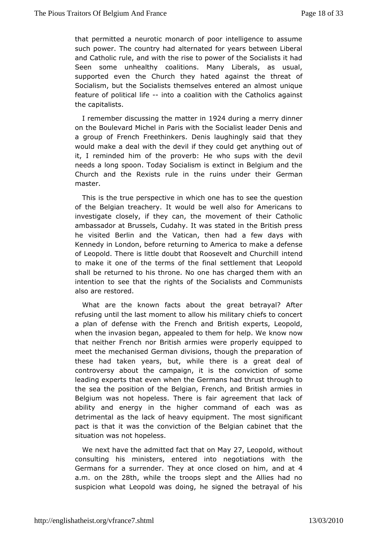that permitted a neurotic monarch of poor intelligence to as suchpower. The country had alternated for years between Lib and Catholic and by with the rise to power of the Socialists it ha Seen some unheadto havitions. Many Liberals, as usual, supported even the Church thægaimsted he threat of Socialism, but the Socialists themselves enutheique an almost feature of politicalnition coalition with the Catholics against the capitalists.

I remember discussing the 1m922t4 deuring a medniny ner on the Boulevard Michel in Paris with the Socialist leader De a group of French Freethinkers. Denis laughingly said that would make a weithal the devil if they could get anything out of it, I reminded him **pfotheerb**: He who sups with the devil needs a long spoon. Today Soctian is minis Belgium and the Church and the Rexists rule in the ruinGerum aler their master.

This is the true perspective in which onequheesstibon see the of the Belgian treachery. It would be well also for America investigate closely, if they can, the movement of their Cat ambassadorBaussels, Cudahy. It was stated in the British pres he visited Berlin an the in, then had a few days with Kennedy in London, before returnintop troaken earid afense of Leopold. There is little doubt that Rooseivnet betand Churchill to make it one of the terms of the final settlement that Lec shall beturned to his throne. No one has charged them with intention to seethte antights of the Socialists and Communists also are restored.

What arthe known facts about the great betrayal? After refusing until the last to canhiom this military chiefs to concert a plan of defense with the FBentch and perts, Leopold, when the invasion began, appealed to the mort or now p. We that neither French nor British armies were properly equipped meetthe mechanised German divisions, though the preparatior these had takenars, but, while there is a great deal of controversy about the campatge, cionvisction of some leading experts that even when the Germtahneuhgand tohrust the sea the position of the Belgian, French, and British arm Belgium was not hopeless. There is fair agreement that lac ability and energy in the higher command of each was as detrimental as the lack  $\theta$  and  $\theta$  and  $\theta$  and  $\theta$ . The most significant pact is that it was the conviche belogian to the binet that the situation was not hopeless.

We next have admetted fact that  $\mathcal{Q}\eta$ , Meaoypold without consulting his ministers, inethote meedgotiations with the Germans for a surrender. They at once calnods ead 4 on him, a.m. on the28th, while the troops slept and the Allies had no suspicion what Leopold was doing, he signed the betrayal c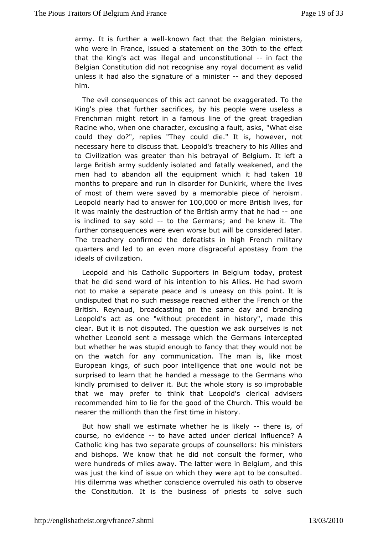army. It finsther a whend wn fact that the Belgian ministers, who were in France, aisstated ment on 3 othe to the effect that the King's act was illume open sathing than and fact the Belgian Constitution did not recogndisseum event cavaal valid unless it had also the signature of a admithmeds operation him.

The evil consequences of this act cannot bethexaggerated. T King's plea that further sacrifices, by his people were usel Frenchman ight retort in a famous line of the great tragediant Racine who, whenhamacter, excusing a fault, asks, "What else could they do?", replies out They ie." It is, however, not necessary here to discuss thattrebeopoydto his Allies and to Civilization was greater than hiBsebgeituranyallt of eft a large British army suddenly isolated and fanallyh weakened, men had to abandon all the equipment which Bit had taken months porepare and run in disorder for Dunkirk, where the liv of most of them swaewred by a memorable piece of heroism. Leopold nearly had to answee of our more British lives, for it was mainly the destruction of thethBartithiehh<del>a</del>dommye is inclined to say-sooldhe Germans; and he knew it. further consequences were even worse but will be considered Thetreachery confirmed the defeatists in high French milit quarters and leach to ven more disgraceful apostasy from the ideals of civilization.

Leopoladnd his Catholic Supporters in Belgium today, prote that he did send whoirsd ionttention to his Allies. He had sworn not to make a separate peaceeasd ban this point. It is undisputed that no such message reached and the French or the French or the French or the French or the French British. Reynaud, broadcasting on the same day and brand Leopold's act as one "without precedent in history", made clear. But intotsdisputed. The question we ask ourselves is no whether Leonold smeets a ge which the Germans intercepted but whether he was stupid enoughhat othey a would not be on the watch for any communication. The man is, like  $m_1$ European kings, of such poor intelligence that one would  $n_1$ surprised learn that he handed a message to the Germans who kindly promised to deBuvtethie.whole story is so improbable that we may prefer to think that clleer oppoold and visers recommended him to lie for the good of the Chbuerch. This would nearer the millionth than the first time in history.

But how shalle swite mate whether he is-theerley is, of course, no evidentoehavacted under clerical influence? A Catholic king has two separate og mosued bo bef: his ministers and bishops. We know that he did nofocomesulwhiche were hundreds of miles away. The latter were in Belgium, and was just the kind of issue on which they were apt to be cons His dilemmas whether conscience overruled his oath to observ the Constitution. It basthess of priests to solve such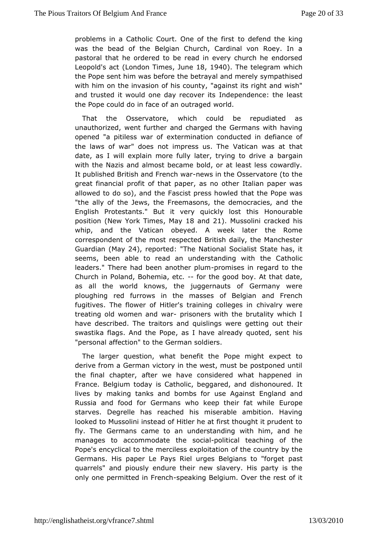problems in a Catholic Court. Onetootletheen dintshte king was the bead of the Belgian Church, Cardinal von Roey.  $\vdash$ pastoral that he ordered to be read in every church he endo  $Leopold's$  ( $\⊂>com and <sub>com</sub> from the same set.$  The telegram which the Pope sent him was hbee boent eay al and merely sympathised with him on the invasion of häsgacionusmitiyits right and wish" and trusted it would one day redependence: the least the Pope could do in face of a mord diraged

That the Osservatore, which could be repudiated a unauthorizwent further and charged the Germans with having opened "a pitiless ewateromfination conducted in defiance of the laws of war" does not impre watican Twhas at that date, as I will explain more fully later, tbyaing caino drive a with the Nazis and almost became bold, or at least less cow Itpublished British and Freemos imathe Osservatore (to the great finanpialit of that paper, as no other Italian paper wa allowed to do so), aFraction the press howled that the Pope was "the ally of the Jews, the Frtcheemele on the states, and the English Protestants." But it very quid-kd polon ablehis positio(New York TimMessy 18 and 21). Mussolini cracked his whip,and the Vatican obeyed. A week later the Rome correspondent of theempossatted British daily, the Manchester Guardia May 24), reported The National Socialist State has, it seems, been able to read an unders**tandica**nthwolling leaders." There had been an optromentispels min regard to the Church in Poland, Bohemifa, rethos good boy. At that date, as all theworld knows, the juggernauts of Germany were ploughing red furrows in the ofm Bestopisan and French fugitives. The flower of Hitler's trainchigvabrive wesein treating old women and riwamers with the brutality which I have described. The traitors and quislings were getting out swastikfaags. And the Pope, as I have already quoted, sent "personal affectitchne" German soldiers.

The larger question, what benefit theexPocepcet troight derive from a German victory in the west, must be postponed thefinal chapter, after we have considered what happened France. Belgium its day tholic, beggared, and dishonoured. It lives by making tanks and bwo.smebsAgfoorinst England and Russia and food for Germans who keep the inpleat while starves. Degrelle has reached his miserable ambition. Ha looked Moussolini instead of Hitler he at first thought it pruder fly. The Germeannse to an understanding with him, and he manages to accommodatse octebe litical teaching of the Pope's encyclical to the merciles osfet heliocidiathitary by the Germans. His paper Le Pays Riel urges Belggians to "forget quarrels" and piously endure their new slavery. His party i only onpeermitted in Freement and Belgium. Over the rest of it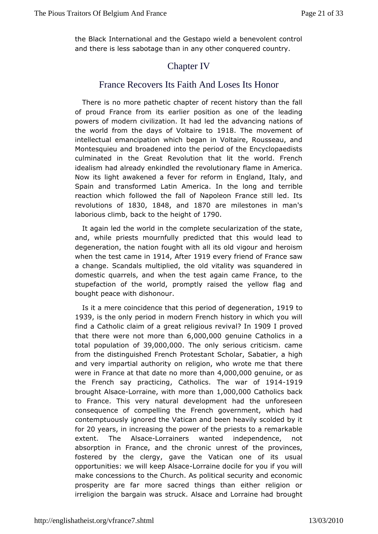the Black ternational and the Gestapo wield a benevolent control and there is slæbs stage than in any other conquered country.

## **ChapterIV**

### France Recovers Its Faith And Loses Its Honor

There is more pathetic chapter of recent history than the fa of proud France from arlites position as one of the leading powers of modern civilization.thle banad or almong nations of the world from the days of V1o9lta8iTehemoovement of intellectual emancipation which began in Voltaire, Rousseau Montesquieu and broadened into the period of the Encyclopae culminated thre Great Revolution that lit the world. French idealism had already enhkenndel rediutionary flame in America. Now its light awakened a fever foEm get ond in litraly, and Spain and transformed Latin America. In tehneibleng and reaction which followed the fall of Napoleon France still le revolutions 1880 1848 and 1870 are milestones in man laborious clbrabk to the height 90f

It again led the world in thesecount puteration of the state, and, while priests mournfully predictweed that atchiso degeneration, the nation fought with all itsseodds migour and when the test camed 4mA ften 919 every friend of France saw a change. Scandals multiplied, the old vitality was squander domestic puarrels, and when the test again came France, to the stupefaction of the pwomptly raised the yellow flag and bought peace with dishonour.

Is it maere coincidence that this period of 1c9e1g9emeration 1939 is the omeleyriod in modern French history in which you wil find a Catholic clagme of aeligious penival 91 proved that there were not mo6e00Ma00@enuine Catholics in a total populatio3n9,o0f00,0.00The only serious criticism. came from the distinguished French Prote Staat hat i Seoth cal a high and very impartial authority on religion, who hew reso te me that were in France at that date no 4,000,000,000 polemuiner as the French say practican holics he war di9141919 brought Alsacerainwith more than 000,000 atholics back to France. This very natural dehuaedlophmeenuthforeseen consequence of compelling the French government, which contemptuously ignored the Vatican and been heavily scolded for20 years nincreasing the power of the priests to a remarkab extent. The Isac Leorrainers wanted independence, not absorption in France, and the enrest of the provinces, fostered by the clergy, gave the Vaticanus womele of its opportunities: we will keeprAasacedocile for you if you will make concessions to the Church. As political security and eco prosperity e far more sacred things than either religion o irreligion the bargasitruwcats Alsace and Lorraine had brought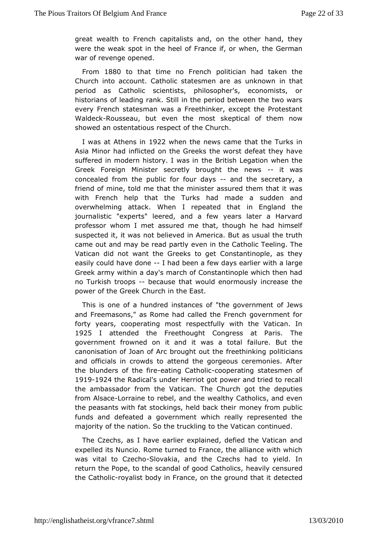great wealth to French capitalist beauther hand, they were the weak spot in the heel of Franthein Geomawhen, war of revenge opened.

From1880 to that time no Fpohidhcian had taken the Church into account. Catholic statesmen ane that unknown period as Catholic scientists, philosopher's, economists historians leading rank. Still in the period between the two  $w<sub>i</sub>$ every French statewsans an Freethinker, except the Protestant Walde $c$ Rkousseau, but even the kempot skal of them now showed an ostentatious respect of the Church.

I wasat Athens in 1922 when the news came that the Turks in Asia Minor had indhicttheed Greeks the worst defeat they have suffered in modern historythle wBarstiish Legation when the Greek Foreign Minister secretly broughtitthwasews concealed from the public for-faund days secretary, a friendf mine, told me that the minister assured them that it v with French htehlapt the Turks had made a sudden and overwhelming attack. When I repeateEdngtheantd the journalistic "experts" leered, and a few years later a Har professor whom I met assured me that, though he had hims suspected it, into wabselieved in America. But as usual the truth came out and may be read open interty the Catholic Teeling. The Vatican did not want the Greek constroamete and as they easily could have-doneed been a few days wiet arlaielrarge Greek army within a day's march of Constantinople which then noTurkish troopbsecause that would enormously increase the power of the GC bekch in the East.

This is one of a hundred instances of "tohfe Joewsernment and Freemasons," as Rome had called the French governmen fortyyears, cooperating most respectfully with the Vatican. 1925 I attended the eethought Congress at Paris. The government frowned on it and it was luate to Bault the canonisation of Joan of Arc brought out phoelitfine in hing and officials in crowds to attend the gorgeous ceremonies. theblunders of the eatineg Cathood boperating statesmen of 19191924 the Radical's under Herriot got power and tried to recall the ambassador from aticean. The Church got the deputies from Alsalcoerraine to rebel, avnedaltthey Catholics, and even the peasants with fat stockings, hemid nibe and the ignublic funds and defeated a government which really represented majority of the nation. So the truckling to the Vatican continu

TheCzechs, as I have earlier explained, defied the Vatican expelled its NuRnocmoe turned to France, the alliance with which was vital to CzSeloohvoakia, athe Czechs had to yield. In return the Pope, to the scandal of gloesed Vatholniscus ed the Cathorloiyalist body in France, on the gote-uenochtetoliat it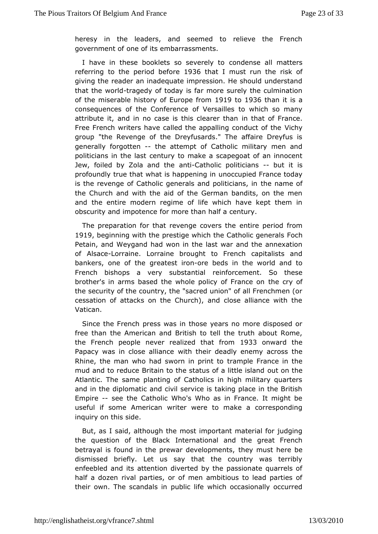heresy in the leaders, and seemed to relieve the Fren governmentone of its embarrassments.

I have in these booklets so soeavredrehysetoall matters referring to the period 19326 to hat I must runrithe of giving the reader an inadequate impression. He should under thatthe worldagedy of today is far more surely the culmination of the miserabistory of Europe find the 1936 than it is a consequences of the Confelers ailles to which so many attribute it, and in no case is this inclue handen betthermance. Free French writers have called the appallin  $\gamma$ gichynduct of the group "the Revenge of the Dreyfusards." The affaire Dreyfus generalforgotten the attempt of Catholic military men and politicians in the emasty to make a scapegoat of an innocent Jew, foiled by Zola aand -iOtahteholic politic-iaboust it is profoundly true that what is haupmocenciunggied France today is the revenge of Catholic generals and heponiatmice aons, in the Church and with the aid of the German bandits, on the andthe entire modern regime of life which have kept them obscurity and impotenmere than half a century.

The preparation for that revengee covers ethied from 1919beginning with the prestige which the Cartchcollic generals Petain, and Weygand had won in the last war and the annexation of Alsacleorraine. Lorraine brought to French capitalists and bankers, one ofgrtehætest ipore beds in the world and to French bishops a very substantial ment. So these brother's in arms based the whole policth of cFy ante on the security of the country, the "sacred union" of all Frenchm cessation of attacks on the Church), and close alliance wit Vatican.

Since the French press was in those years no more dispose free than the American and British to tell the truth about R the Frenche ople never realized that 33 from ward the Papacy was in close walthant beir deadly enemy across the Rhine, the man who had sworn timamppilmet Floance in the mud and to reduce Britain to the status of tao intitle eisland Atlantic. The same planting of Catholics in high military qu and in the diplomatic and civil service is taking place in the Empire-see the Catholic Who's Who as in France. It might b useful if some American were to make a corresponding inquiry on this side.

But, as I salthough the most important material for judging the question of the Insteam rational and the great French betrayal is found in the prewar det helpopmust there be dismissed briefly. Let us say that the country was terr enfeebled and its attention diverted by the passionate quarr half a dozewhal parties, or of men ambitious to lead parties their own. The scandabsidnlife which occasionally occurred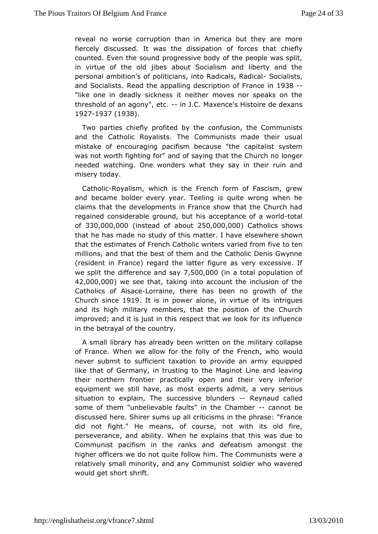reveal no worse corruption American but they are more fiercely discussed. It was the dissipathion of fiefolwces counted. Even the sound progressive body of the people was in virtue of the old jibes about Socialism and liberty and personal mbition's of politicians, into Rad BooadisaliRs asdical and Socialikes.d the appalling description to BBFrance in "like one in deadly siitckneeishser moves nor speaks on the threshold of an agon $\psi$ "in etc. Maxence's Histoire de dexans 19271937 (1938).

Two parties chpied fyted by the confusion, the Communists and the Catholic Royali Ctosm mTuhreists made their usual mistake of encouraging pacifism beampaiut satist the cystem was not worth fighting for" and of saying theotntheer Church no needed watching. One wonders what they say in their ruin misertoday.

CatholRcoyalism, which is the French form of Fascism, gre andbecame bolder every year. Teeling is quite wrong when claims that developments in France show that the Church had regained considerable bourto uhmissi, acceptance of-tat world of  $330,000,000$  of stead of ab $\Delta 50$ ,000,000 atholics shows that he has made no study of this mealtsteew.helmeashown that the estimates of French Catholic writers ovt erried from five millions, and that the best of them and the Catholic Denis Gv (resident in France) regard the latter figure as very excessi we split tchile ference and  $7,550,000$ , 00 $(0)$ n a total population of 42,000,000 e see theatking into account the inclusion of the Catholics of Alsacaeine, therebeas no growth of the Church sin1©e19It is in power ailmonweirtue ofinitisiques and its high military members, that the position of the Ch improved; and it is just in this respect that we look for its inf in thbetrayal of the country.

A small library has already been wmittiteary conthepse of France. When we allow for the folly of the uledrench, who never submit to sufficient taxation to provide an army equi like that Germany, in trusting to the Maginot Line and leavi their northern froportal etrically open and their very inferior equipment we still have, eaxspermtoss tadmit, a very serious situation to explain, The successiveRebyInuanudoersalled some of them "unbelievable faults" in - the an Cabamb beer discussed here. Shirer sums up all criticisms in the phrase: " did nofight." He means, of course, not with its old fire perseverance, and White inty he explains that this was due to Communist pacifism in the radne keating the amongst the higher officers we do not quite follow him. When Chaommunists relatively small minority, and any Communist soldier who wav wouldget short shrift.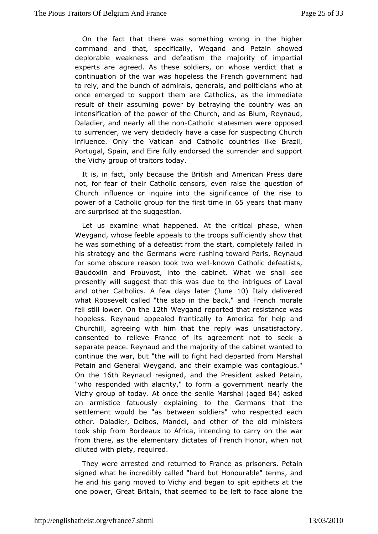On the fact that there was something wrong in the high command and that, specifically, Wegand and Petain shov deplorable weaknessde anad tism the majority of impartial experts are agreed. As these swohlobiseers veoldict that a continuation of the war was hopeless the Frentach government to rely, and the bunch of admirals, generals, and politicians onceemerged to support them are Catholics, as the immedia result of their asspuonwieng by betraying the country was an intensification of the powCerrund ht, hand as Blum, Reynaud, Daladier, and nearly allC talt bon south as men were opposed to surrender, we very decidedly have spece sregf Church influence. Only the Vatican and Catholic Brazint tries like Portugal, Spain, and Eire fully endorsed the surrender and se theVichy group of traitors today.

It is, in fact, only because ahd Bemitin and Press dare not, for fear of their Catholic censors, questionaisé the Church influence or inquire into the significance of the ri power of a Catholic group for the 6 f in westatism teh at h many are surpriaedhe suggestion.

Let us examine what happened. At the own the al phase, Weygand, whose feeble appeals to the troops sufficiently show he wassomething of a defeatist from the start, completely faile his strategy the dGermans were rushing toward Paris, Reynaud for some obscure reason wedkntown Catholic defeatists, Baudoxiin and Prouvost, into the cawbein sthall What alle presently will suggest that this was due to the intrigues of and other CathoAlics w days latene10) Italy delivered what Roose called "the stab in the back," and French morale fell still lo@werth @ 2th Weygand reported that resistance was hopeless. Reynaud appealed frammters ad by foor help and Churchill, agreeing with him that the nstachist awtectry, consented to relieve France of its agreement not to see separate peace. Reynaud and the majority of the cabinet want continue ther, but "the will to fight had departed from Marshall Petain and GeMeryadand, and their example was contagious." On the 6th Reynaud resigamed the President asked Petain, "who responded with alacrity," to form maegolyventhenent Vichy group of t**at a**ynce the senile Maxagreso**tBa4)** asked an armistice fatuously explaining to the Germans that tl settlement would bbet"wasen soldiers" who respected each other. Daladier, Delbos, Mandelofande oo hoerministers took ship from Bordeaux to Africa, intendting twarcarry on from there, as the elementary dictates of French Honor, when dilutewdith piety, required.

They were arrested and returned to ribonnece. a Retain signed what he incredibly called "hard but Hoamodurable" terms he and his gang moved to Vichy and began to spit epithets a one poweGreat Britain, that seemed to be left to face alone t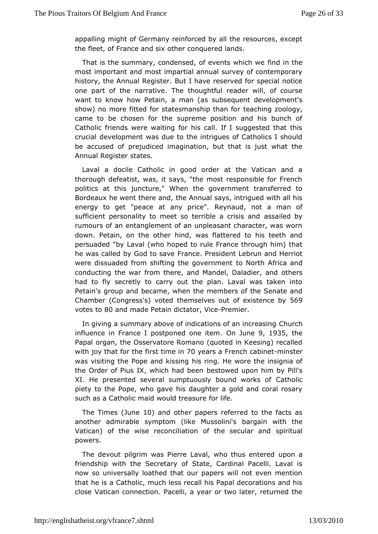appalling mig@tepmany reinforced by all the resources, except the fleet, of France oahdrson aquered lands.

That is the summary, condensed, of everimt to in the the we most important and most impartial annual survey of contempo history, the Annual Register. But I have reserved for special one part tohfe narrative. The thoughtful reader will, of cours want to know how Petmaain, (as subsequent development's show) no more fitted for statesman steath than  $z$  for  $q$  v, came to be chosen for the supreme position and his bunch Catholic friends were waiting for his call. If I suggested that cruciallevelopment was due to the intrigues of Catholics I sho be accused prodiudiced imagination, but that is just what the Annual Regissttætres.

Laval a docile Catholic in good order at the Vatican an thorough defeatist, was, it says, "the most responsible for F politics tahtis juncture," When the government transferred to Bordeaux he went the the a And nual says, intrigued with all his energy to get "peace at an Repniacued, not a man of sufficient personality to meet so terribalesailend sbsy and rumours of an entanglement of an unpleasant character, was down. Petain, on the other hind, was flattered to his teeth persuaded Lawal (who hoped to rule France through him) that he was called by God Fitoassase President Lebrun and Herriot were dissuaded from shifting the topo Neornth meAnftrica and conducting the war from there, and Mandeloth Dearlsadier, and had to fly secretly to carry out the plan. Laval was taken Petaings oup and became, when the members of the Senate an  $Chamber$  (Congress's) theorted ives out of exist  $\&R$  by votes 1800 and made Petain dicture Portemier.

In giving a summary above of indications Chuamchincreasing influence in France I postponed Onon beumise the 35 the Papad rgan, the Osservatore Romano (quoted in Keesing) recall with joy that fof in the firm et Onyears a French emainsteur was visiting the Polpies saing his ring. He wore the insignia of the Order of Pius IX, which badowed nupon him by Pill's XI. He presented several sumptuously boQuanton own och of piety to the Pope, who gave his daughter a gold and coral r suchas a Catholic maid would treasure for life.

The Tim  $é$  suneteral other papers referred to the facts as another admirable symptom (like boolung soon in the Vatican) of the wise reconciliation of the pinsitual and powers.

The devout pilgrim was Pierre Laval, who pomus entered friendship with the Secretary of State, Cardinal Pacelli. La now saniversally loathed that our papers will not even ment that he is a Catholic, less recall his Papal decorations and his close Vatican conneatieolmi, a year or two later, returned the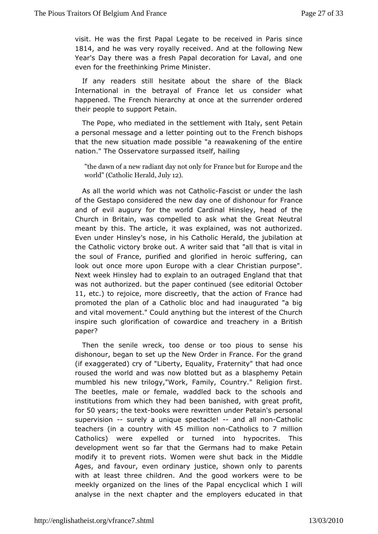visit. He was the first Pactual blee  $\sigma$  a be eived in Paris since 1814 and he was very royally. A enode ia te difinellowing New Year's Day there was a fresh Papal decoration for Laval, an even for the freethinking Prime Minister.

any readers still heebsoitate the share of the Black International in the betrayal of Franceident what happened. The French hierarchy at once at the surrender ord their people to support Petain.

The Pope, who mediated in the wsiehtle an wints ent Petain a personal message and a letter poin Fimegn on the intempes that the new situation made possible "a reawakening of the  $\epsilon$ nation." The Osservatore surpassed itself, hailing

"the dawan no ew radiant day not only for France but for Europ world" (Catheorlaid dulyt  $2$ .

As all the world which was n**bas Cash ounder the lash** of the Gestapo considered the new day one Fortando phonour for and of evil augury for the world Cardinal Hinsley, head of Church Britain, was compelled to ask what the Great Neutral meant by this. The atriweals, explained, was not authorized. Even under Hinsley's nose, in Hiesra Conthologiubilation at the Catholic victory broke out. A wratert batdist heat all in the soul of France, purified and glors fullefollering heronic look out once more upon Europe with a clear Christian purp Next week Hinsley had to explain to an outraged England that was noatuthorized. but the paper continued (see editorial Octo 11, etc) to rejoic meore discreetly, that the action of France had promoted the plan of a Clasthoalnid had inaugurated "a big and vital movement." Could anythinnigrbat off ethe Church inspire such glorification of cowardice aand Btiteshhery in paper?

Then the senile wreck, too dense or too **pis**us to sense dishonour, began to set up the New Order in France. For the (ifexaggerated) cry of "Liberty, Equality, Fraternity" that had roused twerld and was now blotted but as a blasphemy Petai mumbled his new ogy, "Work, Family, Country." Religion first. The beetles, male or weardaled back to the schools and institutions from which they had bewenthbangmes and profit, for50 years the text tooks were rewritten under ePretainal's supervision surely a unique spectacle all noatholic teacher(sn a country with fillion noantholics 7 to million Catholicswere expelled or turned into hypocrites. This development went so far Gheatmalmes had to make Petain modify it to prevent riots. Women were ths ball black in Ages, and favour, even ordinary justice, shown only to par withat least three children. And the good workers were to meekly organized dinetheof the Papal encyclical which I will analyse in the next chapter emapor loby to the educated in that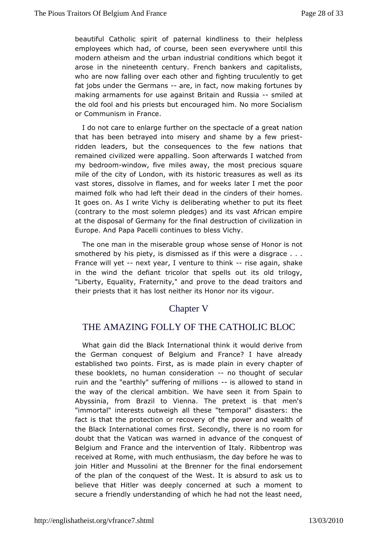beautiful Catholic spirit of paternal theirdline elpstess employees which had, of course, been seen everywhere until modern atheism and the urban industrial conditions which be arose in the neteenth century. French bankers and capitalists who are now falling acheother and fighting truculently to get fat jobs under the Ge-raman sifract, now making fortunes by making armaments for use against Britain manded Rassia the old fool and his priests but encouraged him. No more Soc or Communism in France.

I do not care to enlarge further on othe spreatame ation that has been betrayed into misery and shame stby a few ridden leaders, but the consequences to the few nations remained vilized were appalling. Soon afterwards I watched fr  $my$  bedroownindow, finales away, the most precious square mile of the city of Londom, is with its tareasures as well as its vast stores, dissolve in flames, almadefrol meektshe poor maimed folk who had left their dead in the homes is of their It goes on. As I write Vichy is deliberating whether to put its (contrary to the most solemn pledges) and its vast African  $e_{\perp}$ at theisposal of Germany for the final destruction of civilizati Europe. A Phad pa Pacelli continues to bless Vichy.

The one man in the miserawheosque osume and Honor is not smothered by his piety, is dismissed and information .ere. France will-yme ext year, I venture to riben agas make in the wind the defiant tricolor that spells out its old tri "Liberty, Equality, Fraternity," and prove to the dead traitor theipriests that it has lost neither its Honor nor its vigour.

### Chapter V

# THE AMAZING FOLLY OF THE CATHOLIC BLOC

Whatgain did the Black International think it would derive  $f_1$ the German conquite sBelgium and France? I have already established two points. First, palains im and every chapter of these booklets, no human consindoerbitoioung of secular ruin and the "earthly" suffering-of millowends to stand the way of the clerical ambition. We have seen it from Spa Abyssiniar, om Brazil to Vienna. The pretext is that men's "immortal" interests outwethgehse "temporal" disasters: the fact is that the protection or the convew profand wealth of the Black International comes first. Secondopmthere is doubt that the Vatican was warned in advance of the conque Belgium and France and the intervention of Italy. Ribbentrop received Raotme, with much enthusiasm, the day before he was t join Hitler and Musstschiei Brenner for the final endorsement of the plan of the conqueWe sotf. theis absurd to ask us to believe that Hitler was deeply conceanend madent sutcoh secure a friendly understanding of which he had not the least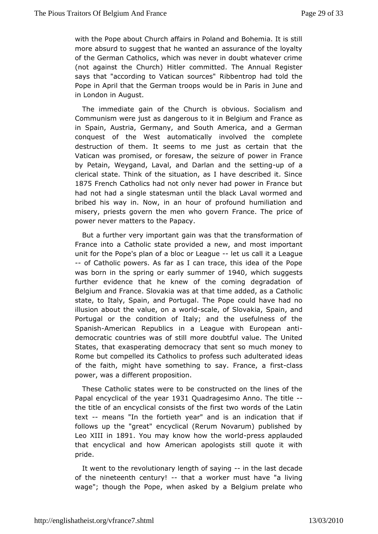with the Pope about Church affairs in Poland and Bohemia. It moreabsurd to suggest that he wanted an assurance of the loy of the GermCaantholics, which was never in doubt whatever crim (not against the Chuitbehr) committed. The Annual Register says that "according to VaticaRhibsboeuntorops" had told the Pope in April that the German troops would ube ian Paris in London in August.

The immediate gain of the **Church** sis Socialism and Communism were just as dangerous to it France as and in Spain, Austria, Germany, and South America, and a Ger conquesof the West automatically involved the complete destruction of them. It seneemsust as certain that the Vatican was promised, or foresaw, the weeizur France by Petain, Weygand, Laval, and Darlan and diffice setting clerical state. Think of the situation, as I have described it 1875French Catholics had not only never had power in France had not had a ssingtless man until the black Laval wormed and bribed his way in. Now, in approhiound thumiliation and misery, priests govern the men who gover price ante. The power never matters to the Papacy.

But a further very impain awas that the transformation of France into a Catholic state provainde dm as new map ortant unit for the Pope's plan of a blocleotrulse aid lube League -- of Catholic powers. As far as I can trace, this idea of the was born in the spring or early 1994 mp bric bfsuggests further evidethce the knew of the coming degradation of Belgium and France. Slova khat was a added, as a Catholic state, to Italy, Spain, and PortugabulTdh ta a Poephad no illusion about the value, osncaalewoorfdSlovSapkiaan, and Portugal or the condition of Italy; and the usefulness of Spanis American Republics in a League with -European ant democratic coun taises of still more doubtful value. The United States, that exasperating dtehmab csreancty so much money to Rome but compelled its Catholics to a pount for sead of deas of the faith, might have something to sfayst Farsance, a power, was a different proposition.

These Catholic states wereonstructed on the lines of the Papal encyclical of the estandragesimo Anno. The title the title of an encyclical consistwo of words first the Latin text-- means "In the fortieth year" and is a matinidication follows up the "great" encyclical (Rerum Novarum) publishe Leo XII h1891 You may know how the preess dapplauded that encyclical and am to an apologists still quote it with pride.

It went to the eolutionary length of- smay three last decade of the nineteenth centunayt! a worker must have "a living wage"; though the Pope, when a Booklegd ubory parelate who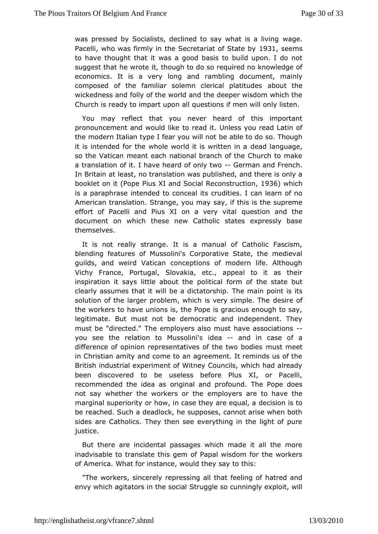was pressed by Socialists, declined to say waget is a living Pace, who was firmly in the Secretariat 1981, Stead ensby to havehought that it was a good basis to build upon. I do r suggest that he wirottheough to do so required no knowledge of economics. It is a very loanopblaind document, mainly composed of the familiar solemn cleriab but lattibudes wickedness and folly of the world and the deeper wisdom whic Church is ready to impart upon all questions if men will only I

You may reflect that you never heard of this important pronouncement and wouddreizkde it. Unless you read Latin of the modern Italian type I fear beua wiel troot o so. Though it is intended for the whole world it desawdrihetenguiangea, so the Vatican meant each national branch of the Church to a translation of it. I have heard -o G omhyant wax nd French. In Britain eatst, no translation was published, and there is onl booklet on it (PPioupse XI and Social Reconstant Bubout hoich is a paraphrase intendedetal its crudities. I can learn of no American translation. Stranges, ay put may is the supreme effort of Pacelli and Pius XI on qauevsetriyonviatabl the document on which these new Catholic states expressly b themselves.

It is not really strange. It is a manual of Catholic Fasc blending features of Mussolini's Corporative State, the med guilds, awdird Vatican conceptions of modern life. Althoug Vichy France, Porsugat, Kia, etc., appeal to it as their inspiration it says little **abbut caheform** of the state but clearly assumes that it will be a Tchictantaoinshipoint is its solution of the larger problem, which is vobersyinse montle. The the workers to have unions is, the Pope is gracious enough t legitimate. But must not be democratic and independent. T must be "directembe." employers also must have associations you see the relation to Mudsessa-linain'sd in case of a difference of opinion representatives ofmtwhst the bodies in Christian amity and come to an agreement. It reminds us o British industrial experiment of Witney Councils, which had a beendiscovered to be useless before Plus XI, or Pacel recommended the idoeragarsal and profound. The Pope does not say whether the workerssmotoyheers are to have the marginal superiority or how, in case the eye as example at a marginal equal be reached. Such a deadlock, he supposes, cannot arise wher sides are Catholics. They then see everything in the light o justice.

But there are incidental passages which made it all the n inadvisable to translate this gem of Papal wisdom for the wo of Amerid at for instance, would they say to this:

"The workers, sinnceepredyssing all that feeling of hatred and envy which agitators in tShterusgoogdiealso cunningly exploit, will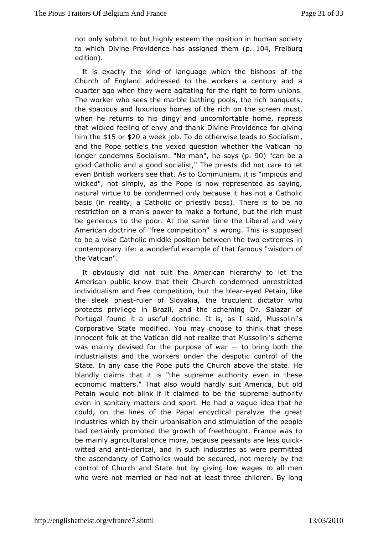not only submit to but highly pose eimonthe human society to which Divine Providence has as(spig1nCe4d Frheebmurg edition).

It is exactly the kind of language which the bishops of Church of England addressed to the workers a century an quarter ago wthey were agitating for the right to form unions. The worker who sees the mathim be pools, the rich banquets, the spacious and luxurious homess nofthtehes orie hen must, when he returns to his dingy and uncomfortable home, repi that wicked feeling of envy and thank Divine Providence for him th $\frac{1}{2}$ 15or\$20a week job do otherwise leads to Socialism and the Pope settle's sablequestion whether the Vatican no longer condemns Socialism. "Neams(p. 90) het an be a good Catholic and a good socialist," The caprreiets ot sledtid not even British workers see that. As to Communism, it is "impiou wicked", not simply, as the Pope is now represented as sa natural virtubet condemned only because it has not a Catholic basis (in reality, a Caphrodisdly or boss). There is to be no restriction on a man's power ftcortmonalete baut the rich must be generous to the poor. At the same timmed the ry iberal American doctrine of "free competition" is wrong. This is sup tobe a wise Catholic middle position between the two extreme contemporairfy e: a wonderful example of that famous "wisdom o the Vatican".

It obviously did not suit the American hierarchy to let t American public the had wtheir Church condemned unrestricted individualism and free compethieidone by under Petain, like the sleek p-rrivelsetr of Slovakia, the toluinctual benut who protects privilege in Brazil, and the scheming Dr. Salaza Portugal found it a useful doctrine. It is, as I said, Muss Corporatisteate modified. You may choose to think that these innocent folk at the dlatincoath realize that Mussolini's scheme was mainly devised for the pwaap-oste dofring both the industrialists and the workers undercometrodle sopfottice State. In any case the Pope puts the Church above the state blandly claims that it is "the supreme authority even in the economicatters." That also would hardly suit America, but o Petain would not biltinck aiifmed to be the supreme authority even in sanitary matters andhapdont.valgeue idea that he could, on the lines of the Papal ency the agreatalyze industries which by their urbanisation and stimulation of the  $\vert$ had certainly promoted the growth of freethought. France was be mainaw pricultural once more, because peasants are less qui witted amacht-iclerical, and in such industries as were permitte the ascendancCy a bifolics would be secured, not merely by the control of Church and State but bow wages to all men who were not married or had not atcheladstenthree long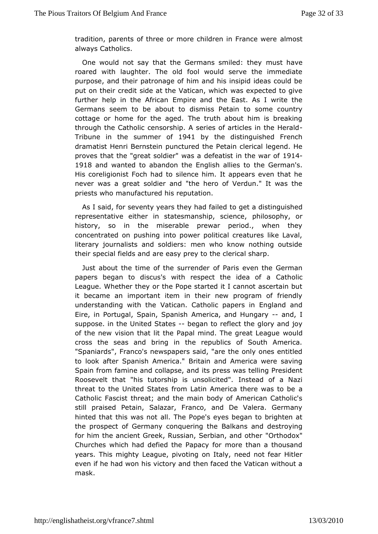tradition, parents of three or more childremalmno Etance were always Catholics.

One would not say that the Germans mamaste thave by roared with laughter. The old fool would serve the immed purposand their patronage of him and his insipid ideas could put on their cseddetat the Vatican, which was expected to give further help in the Empian and the East. As I write the Germans seem to be about to dismicisso Phetaciountry cottage or home for the aged. The truth about him is brea through the Catholic censorship. A series of articles in the I Tribune the summer 10941 by the distinguished French dramatist Henri Beprus rtetion red the Petain clerical legend. He proves that the "great soldident" e awtaist ain the wait 4of 1918 and wanted to abandon the Englishe alleinensands. His coreligionist Foch had to silence him. It appears even the never was a great soldier and "the hero of Verdun." It was priests whanufactured his reputation.

As I said, for seventy years the p mo ad adlisdinguished representative either in statesmanship, josophy, cor history, so in the miserable prewar period., when the concentrated on pushing into power political creatures like literariournalists and soldiers: men who know nothing outsident their special fieladise aenadsy prey to the clerical sharp.

Just about the time of the ssfur Paniche even the German papers began to discus's with respect to athiodlea of a League. Whether they or the Pope started it I cannot ascerta it became an important item in their new program of friend understanding with athean. Catholic papers in England and Eire, in Portugal, Spain Am<sup>8</sup> paincias, hand Hungand, I suppose. in the United- $S$ eagtærs to refthe $\alpha$  tglory and joy of the new vision that lit the Papal mind. Twhoeugdreat League cross the seas and bring in the republics of South Amer "Spaniard&fanco's newspapers said, "are the only ones entitl to look after Spamismica." Britain and America were saving Spain from famine and colliaps press dwas telling President Roosevelt that "his tutorship is lumsstoeladitet a Nazi threat to the United States from Latin America there was to Catholic Fascist threat; and the main body of American Cath stillpraised Petain, Salazar, Franco, and De Valera. Germ. hinted that this was not aller Pope's eyes began to brighten at the prospect of Germany conqBalkmagnsthænd destroying for him the ancient Greek, Russian, Serb Oath oad nock "other Churches which had defied the Papacy for more than a thou yearsThis mighty League, pivoting on Italy, need not fear Hi even if he hadhwsonictory and then faced the Vatican without a mask.